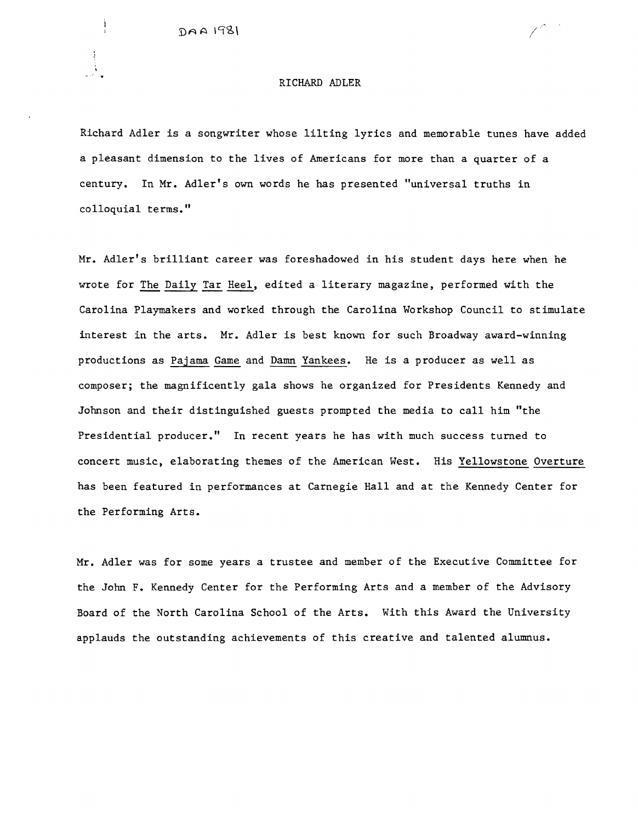$DAA 198$ 

#### RICHARD ADLER

Richard Adler is a songwriter whose lilting lyrics and memorable tunes have added a pleasant dimension to the lives of Americans for more than a quarter of a century. In Mr. Adler's own words he has presented "universal truths in colloquial terms."

Mr. Adler's brilliant career was foreshadowed in his student days here when he wrote for The Daily Tar Heel, edited a literary magazine, performed with the Carolina Playmakers and worked through the Carolina Workshop Council to stimulate interest in the arts. Mr. Adler is best known for such Broadway award-winning productions as Pajama Game and Damn Yankees. He is a producer as well as composer; the magnificently gala shows he organized for Presidents Kennedy and Johnson and their distinguished guests prompted the media to call him "the Presidential producer." In recent years he has with much success turned to concert music, elaborating themes of the American West. His Yellowstone Overture has been featured in performances at Carnegie Hall and at the Kennedy Center for the Performing Arts.

Mr. Adler was for some years a trustee and member of the Executive Committee for the John F. Kennedy Center for the Performing Arts and a member of the Advisory Board of the North Carolina School of the Arts. With this Award the University applauds the outstanding achievements of this creative and talented alumnus.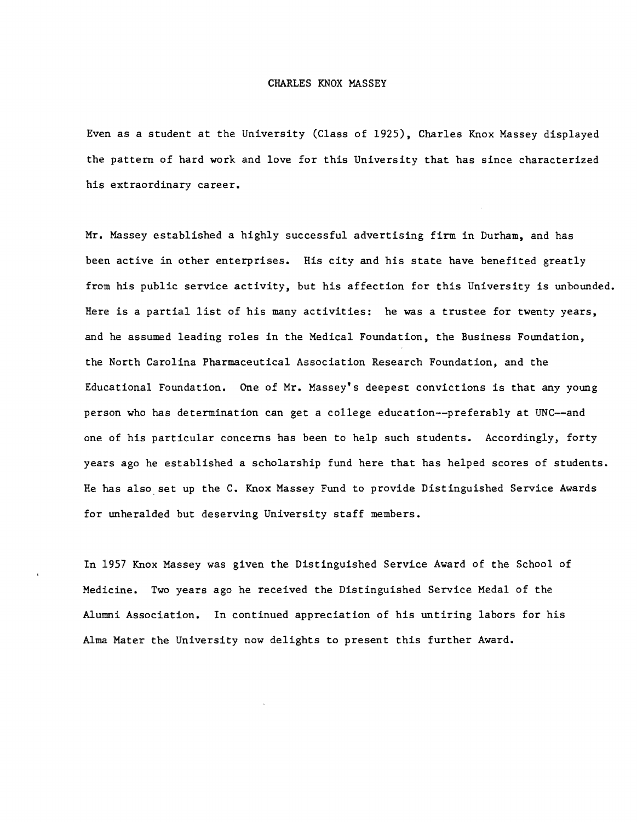# CHARLES KNOX MASSEY

Even as a student at the University (Class of 1925), Charles Knox Massey displayed the pattern of hard work and love for this University that has since characterized his extraordinary career.

Mr. Massey established a highly successful advertising firm in Durham, and has been active in other enterprises. His city and his state have benefited greatly from his public service activity, but his affection for this University is unbounded. Here is a partial list of his many activities: he was a trustee for twenty years, and he assumed leading roles in the Medical Foundation, the Business Foundation, the North Carolina Pharmaceutical Association Research Foundation, and the Educational Foundation. One of Mr. Massey's deepest convictions is that any young person who has determination can get a college education--preferab1y at UNC--and one of his particular concerns has been to help such students. Accordingly, forty years ago he established a scholarship fund here that has helped scores of students. He has also set up the C. Knox Massey Fund to provide Distinguished Service Awards for unheralded but deserving University staff members.

In 1957 Knox Massey was given the Distinguished Service Award of the School of Medicine. Two years ago he received the Distinguished Service Medal of the Alumni Association. In continued appreciation of his untiring labors for his Alma Mater the University now delights to present this further Award.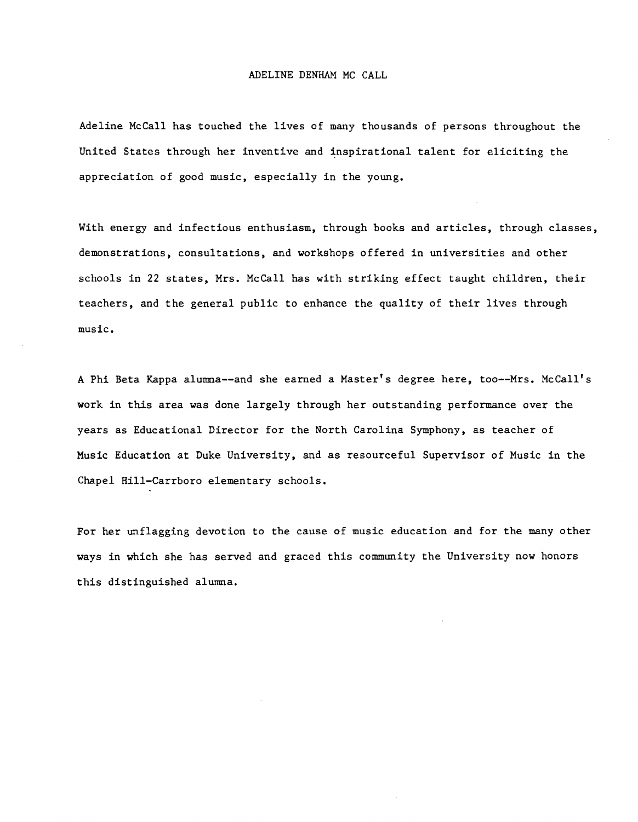### ADELINE DENHAM MC CALL

Adeline McCall has touched the lives of many thousands of persons throughout the United States through her inventive and inspirational talent for eliciting the appreciation of good music, especially in the young.

With energy and infectious enthusiasm, through books and articles, through classes, demonstrations, consultations, and workshops offered in universities and other schools in 22 states, Mrs. McCall has with striking effect taught children, their teachers, and the general public to enhance the quality of their lives through music.

A Phi Beta Kappa alumna--and she earned a Master's degree here, too--Mrs. McCall's work in this area was done largely through her outstanding performance over the years as Educational Director for the North Carolina Symphony, as teacher of Music Education at Duke University, and as resourceful Supervisor of Music in the Chapel Hill-Carrboro elementary schools.

For her unflagging devotion to the cause of music education and for the many other ways in which she has served and graced this community the University now honors this distinguished alumna.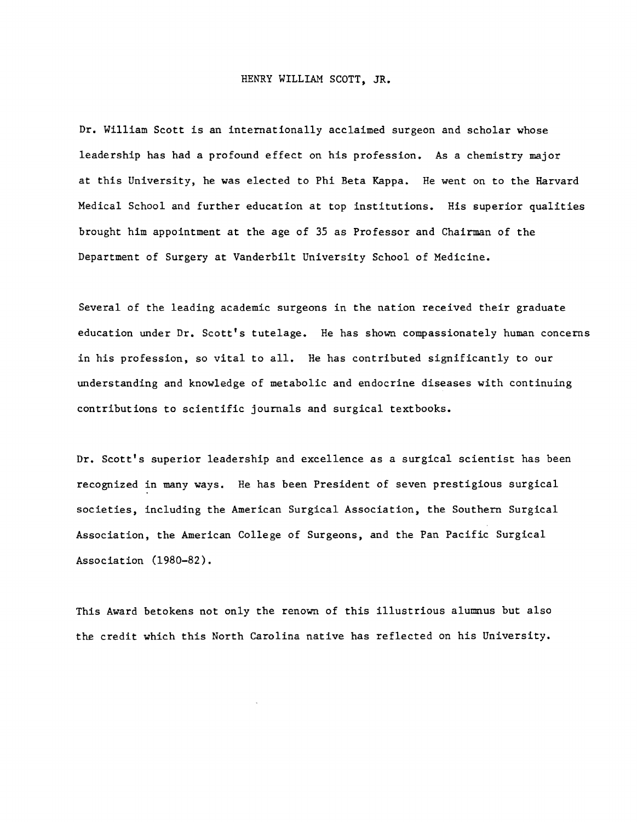## HENRY WILLIAM SCOTT, JR.

Dr. William Scott is an internationally acclaimed surgeon and scholar whose leadership has had a profound effect on his profession. As a chemistry major at this University, he was elected to Phi Beta Kappa. He went on to the Harvard Medical School and further education at top institutions. His superior qualities brought him appointment at the age of 35 as Professor and Chairman of the Department of Surgery at Vanderbilt University School of Medicine.

Several of the leading academic surgeons in the nation received their graduate education under Dr. Scott's tutelage. He has shown compassionately human concerns in his profession, so vital to all. He has contributed significantly to our understanding and knowledge of metabolic and endocrine diseases with continuing contributions to scientific journals and surgical textbooks.

Dr. Scott's superior leadership and excellence as a surgical scientist has been recognized in many ways. He has been President of seven prestigious surgical societies, including the American Surgical Association, the Southern Surgical Association, the American College of Surgeons, and the Pan Pacific Surgical Association (1980-82).

This Award betokens not only the renown of this illustrious alumnus but also the credit which this North Carolina native has reflected on his University.